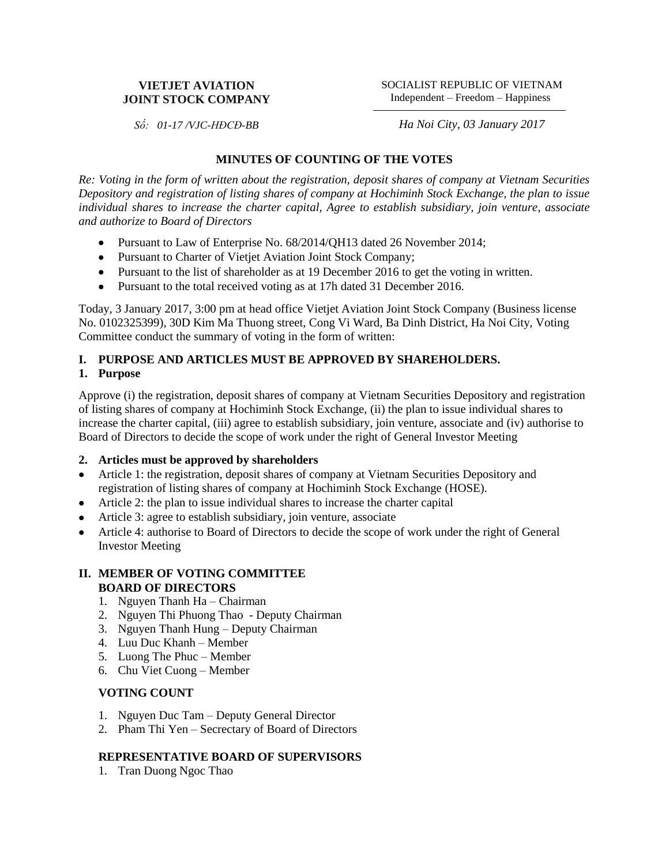## **VIETJET AVIATION JOINT STOCK COMPANY**

SOCIALIST REPUBLIC OF VIETNAM Independent – Freedom – Happiness

*Số: 01-17 /VJC-HĐCĐ-BB*

*Ha Noi City, 03 January 2017*

# **MINUTES OF COUNTING OF THE VOTES**

*Re: Voting in the form of written about the registration, deposit shares of company at Vietnam Securities Depository and registration of listing shares of company at Hochiminh Stock Exchange, the plan to issue individual shares to increase the charter capital, Agree to establish subsidiary, join venture, associate and authorize to Board of Directors*

- Pursuant to Law of Enterprise No. 68/2014/QH13 dated 26 November 2014;
- Pursuant to Charter of Vietjet Aviation Joint Stock Company;
- Pursuant to the list of shareholder as at 19 December 2016 to get the voting in written.
- Pursuant to the total received voting as at 17h dated 31 December 2016.

Today, 3 January 2017, 3:00 pm at head office Vietjet Aviation Joint Stock Company (Business license No. 0102325399), 30D Kim Ma Thuong street, Cong Vi Ward, Ba Dinh District, Ha Noi City, Voting Committee conduct the summary of voting in the form of written:

# **I. PURPOSE AND ARTICLES MUST BE APPROVED BY SHAREHOLDERS.**

## **1. Purpose**

Approve (i) the registration, deposit shares of company at Vietnam Securities Depository and registration of listing shares of company at Hochiminh Stock Exchange, (ii) the plan to issue individual shares to increase the charter capital, (iii) agree to establish subsidiary, join venture, associate and (iv) authorise to Board of Directors to decide the scope of work under the right of General Investor Meeting

# **2. Articles must be approved by shareholders**

- Article 1: the registration, deposit shares of company at Vietnam Securities Depository and registration of listing shares of company at Hochiminh Stock Exchange (HOSE).
- Article 2: the plan to issue individual shares to increase the charter capital
- Article 3: agree to establish subsidiary, join venture, associate
- Article 4: authorise to Board of Directors to decide the scope of work under the right of General Investor Meeting

## **II. MEMBER OF VOTING COMMITTEE BOARD OF DIRECTORS**

- 1. Nguyen Thanh Ha Chairman
- 2. Nguyen Thi Phuong Thao Deputy Chairman
- 3. Nguyen Thanh Hung Deputy Chairman
- 4. Luu Duc Khanh Member
- 5. Luong The Phuc Member
- 6. Chu Viet Cuong Member

# **VOTING COUNT**

- 1. Nguyen Duc Tam Deputy General Director
- 2. Pham Thi Yen Secrectary of Board of Directors

# **REPRESENTATIVE BOARD OF SUPERVISORS**

1. Tran Duong Ngoc Thao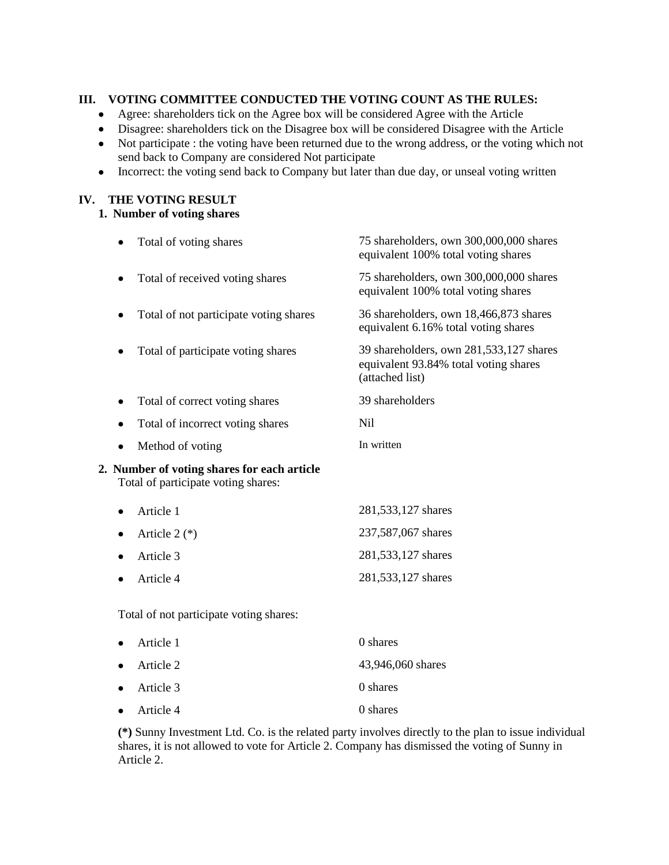# **III. VOTING COMMITTEE CONDUCTED THE VOTING COUNT AS THE RULES:**

- Agree: shareholders tick on the Agree box will be considered Agree with the Article
- Disagree: shareholders tick on the Disagree box will be considered Disagree with the Article
- Not participate : the voting have been returned due to the wrong address, or the voting which not send back to Company are considered Not participate
- Incorrect: the voting send back to Company but later than due day, or unseal voting written

# **IV. THE VOTING RESULT**

## **1. Number of voting shares**

| Total of voting shares                                                             | 75 shareholders, own 300,000,000 shares<br>equivalent 100% total voting shares                      |
|------------------------------------------------------------------------------------|-----------------------------------------------------------------------------------------------------|
| Total of received voting shares                                                    | 75 shareholders, own 300,000,000 shares<br>equivalent 100% total voting shares                      |
| Total of not participate voting shares                                             | 36 shareholders, own 18,466,873 shares<br>equivalent 6.16% total voting shares                      |
| Total of participate voting shares                                                 | 39 shareholders, own 281,533,127 shares<br>equivalent 93.84% total voting shares<br>(attached list) |
| Total of correct voting shares                                                     | 39 shareholders                                                                                     |
| Total of incorrect voting shares                                                   | N <sub>il</sub>                                                                                     |
| Method of voting<br>٠                                                              | In written                                                                                          |
| 2. Number of voting shares for each article<br>Total of participate voting shares: |                                                                                                     |
| Article 1                                                                          | 281,533,127 shares                                                                                  |
| Article $2$ $(*)$                                                                  | 237,587,067 shares                                                                                  |
| Article 3                                                                          | 281,533,127 shares                                                                                  |
| Article 4                                                                          | 281,533,127 shares                                                                                  |
|                                                                                    |                                                                                                     |

Total of not participate voting shares:

| $\bullet$ Article 1 | 0 shares          |
|---------------------|-------------------|
| $\bullet$ Article 2 | 43,946,060 shares |
| $\bullet$ Article 3 | 0 shares          |
| $\bullet$ Article 4 | 0 shares          |

**(\*)** Sunny Investment Ltd. Co. is the related party involves directly to the plan to issue individual shares, it is not allowed to vote for Article 2. Company has dismissed the voting of Sunny in Article 2.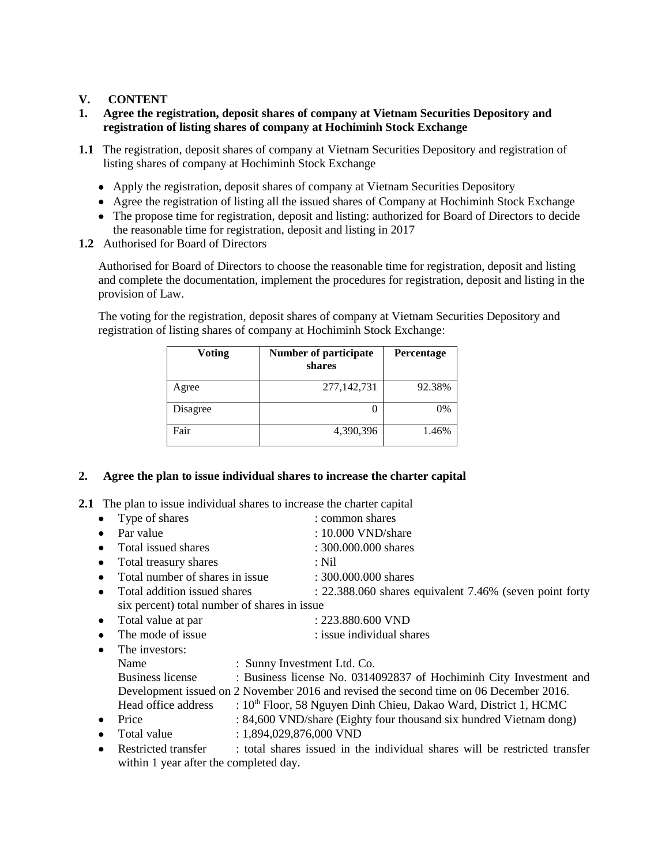# **V. CONTENT**

# **1. Agree the registration, deposit shares of company at Vietnam Securities Depository and registration of listing shares of company at Hochiminh Stock Exchange**

- **1.1** The registration, deposit shares of company at Vietnam Securities Depository and registration of listing shares of company at Hochiminh Stock Exchange
	- Apply the registration, deposit shares of company at Vietnam Securities Depository
	- Agree the registration of listing all the issued shares of Company at Hochiminh Stock Exchange
	- The propose time for registration, deposit and listing: authorized for Board of Directors to decide the reasonable time for registration, deposit and listing in 2017
- **1.2** Authorised for Board of Directors

Authorised for Board of Directors to choose the reasonable time for registration, deposit and listing and complete the documentation, implement the procedures for registration, deposit and listing in the provision of Law.

The voting for the registration, deposit shares of company at Vietnam Securities Depository and registration of listing shares of company at Hochiminh Stock Exchange:

| <b>Voting</b> | Number of participate<br>shares | <b>Percentage</b> |
|---------------|---------------------------------|-------------------|
| Agree         | 277, 142, 731                   | 92.38%            |
| Disagree      |                                 | 0%                |
| Fair          | 4,390,396                       | 1.46%             |

## **2. Agree the plan to issue individual shares to increase the charter capital**

**2.1** The plan to issue individual shares to increase the charter capital

|           | Type of shares                               | : common shares                                                                        |
|-----------|----------------------------------------------|----------------------------------------------------------------------------------------|
| $\bullet$ | Par value                                    | $: 10.000$ VND/share                                                                   |
| ٠         | Total issued shares                          | : 300.000.000 shares                                                                   |
| ٠         | Total treasury shares                        | $:$ Nil                                                                                |
| $\bullet$ | Total number of shares in issue.             | $: 300.000.000$ shares                                                                 |
| $\bullet$ | Total addition issued shares                 | : 22.388.060 shares equivalent 7.46% (seven point forty                                |
|           | six percent) total number of shares in issue |                                                                                        |
| $\bullet$ | Total value at par                           | $: 223.880.600$ VND                                                                    |
| $\bullet$ | The mode of issue.                           | : issue individual shares                                                              |
| $\bullet$ | The investors:                               |                                                                                        |
|           | Name                                         | : Sunny Investment Ltd. Co.                                                            |
|           | Business license                             | : Business license No. 0314092837 of Hochiminh City Investment and                     |
|           |                                              | Development issued on 2 November 2016 and revised the second time on 06 December 2016. |
|           | Head office address                          | : $10th$ Floor, 58 Nguyen Dinh Chieu, Dakao Ward, District 1, HCMC                     |
| ٠         | Price                                        | : 84,600 VND/share (Eighty four thousand six hundred Vietnam dong)                     |
| ٠         | Total value                                  | : $1,894,029,876,000$ VND                                                              |
| ٠         | Restricted transfer                          | : total shares issued in the individual shares will be restricted transfer             |
|           | within 1 year after the completed day.       |                                                                                        |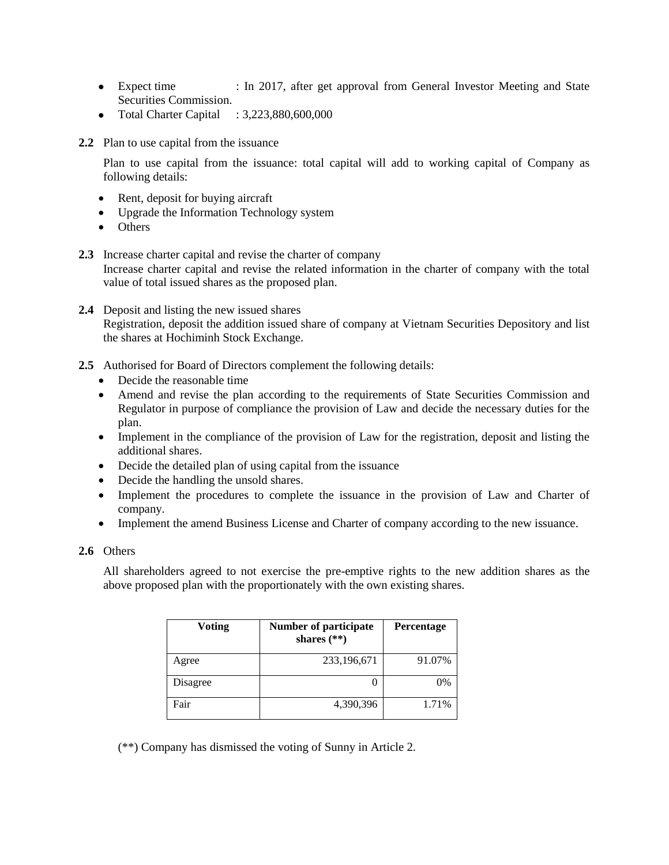- Expect time : In 2017, after get approval from General Investor Meeting and State Securities Commission.
- Total Charter Capital : 3,223,880,600,000
- **2.2** Plan to use capital from the issuance

Plan to use capital from the issuance: total capital will add to working capital of Company as following details:

- Rent, deposit for buying aircraft
- Upgrade the Information Technology system
- Others
- **2.3** Increase charter capital and revise the charter of company Increase charter capital and revise the related information in the charter of company with the total value of total issued shares as the proposed plan.
- **2.4** Deposit and listing the new issued shares Registration, deposit the addition issued share of company at Vietnam Securities Depository and list the shares at Hochiminh Stock Exchange.
- **2.5** Authorised for Board of Directors complement the following details:
	- Decide the reasonable time
	- Amend and revise the plan according to the requirements of State Securities Commission and Regulator in purpose of compliance the provision of Law and decide the necessary duties for the plan.
	- Implement in the compliance of the provision of Law for the registration, deposit and listing the additional shares.
	- Decide the detailed plan of using capital from the issuance
	- Decide the handling the unsold shares.
	- Implement the procedures to complete the issuance in the provision of Law and Charter of company.
	- Implement the amend Business License and Charter of company according to the new issuance.

## **2.6** Others

All shareholders agreed to not exercise the pre-emptive rights to the new addition shares as the above proposed plan with the proportionately with the own existing shares.

| Voting   | <b>Number of participate</b><br>shares $(**)$ | <b>Percentage</b> |
|----------|-----------------------------------------------|-------------------|
| Agree    | 233,196,671                                   | 91.07%            |
| Disagree |                                               | $0\%$             |
| Fair     | 4,390,396                                     | 1.71%             |

(\*\*) Company has dismissed the voting of Sunny in Article 2.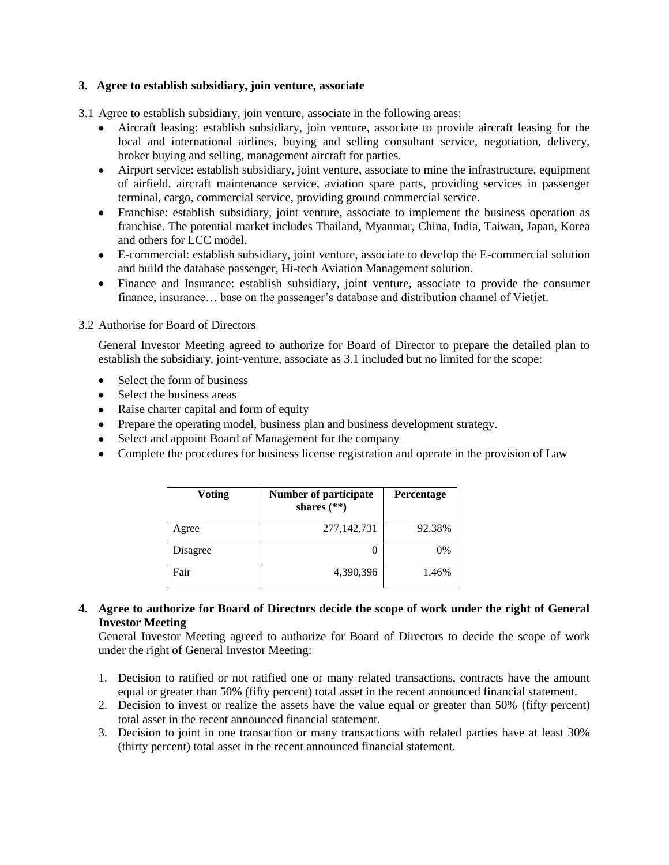## **3. Agree to establish subsidiary, join venture, associate**

3.1 Agree to establish subsidiary, join venture, associate in the following areas:

- Aircraft leasing: establish subsidiary, join venture, associate to provide aircraft leasing for the local and international airlines, buying and selling consultant service, negotiation, delivery, broker buying and selling, management aircraft for parties.
- Airport service: establish subsidiary, joint venture, associate to mine the infrastructure, equipment of airfield, aircraft maintenance service, aviation spare parts, providing services in passenger terminal, cargo, commercial service, providing ground commercial service.
- Franchise: establish subsidiary, joint venture, associate to implement the business operation as franchise. The potential market includes Thailand, Myanmar, China, India, Taiwan, Japan, Korea and others for LCC model.
- E-commercial: establish subsidiary, joint venture, associate to develop the E-commercial solution and build the database passenger, Hi-tech Aviation Management solution.
- Finance and Insurance: establish subsidiary, joint venture, associate to provide the consumer finance, insurance… base on the passenger's database and distribution channel of Vietjet.

#### 3.2 Authorise for Board of Directors

General Investor Meeting agreed to authorize for Board of Director to prepare the detailed plan to establish the subsidiary, joint-venture, associate as 3.1 included but no limited for the scope:

- Select the form of business
- Select the business areas
- Raise charter capital and form of equity
- Prepare the operating model, business plan and business development strategy.
- Select and appoint Board of Management for the company
- Complete the procedures for business license registration and operate in the provision of Law

| <b>Voting</b> | <b>Number of participate</b><br>shares $(**)$ | <b>Percentage</b> |
|---------------|-----------------------------------------------|-------------------|
| Agree         | 277, 142, 731                                 | 92.38%            |
| Disagree      |                                               | 0%                |
| Fair          | 4,390,396                                     | 1.46%             |

# **4. Agree to authorize for Board of Directors decide the scope of work under the right of General Investor Meeting**

General Investor Meeting agreed to authorize for Board of Directors to decide the scope of work under the right of General Investor Meeting:

- 1. Decision to ratified or not ratified one or many related transactions, contracts have the amount equal or greater than 50% (fifty percent) total asset in the recent announced financial statement.
- 2. Decision to invest or realize the assets have the value equal or greater than 50% (fifty percent) total asset in the recent announced financial statement.
- 3. Decision to joint in one transaction or many transactions with related parties have at least 30% (thirty percent) total asset in the recent announced financial statement.